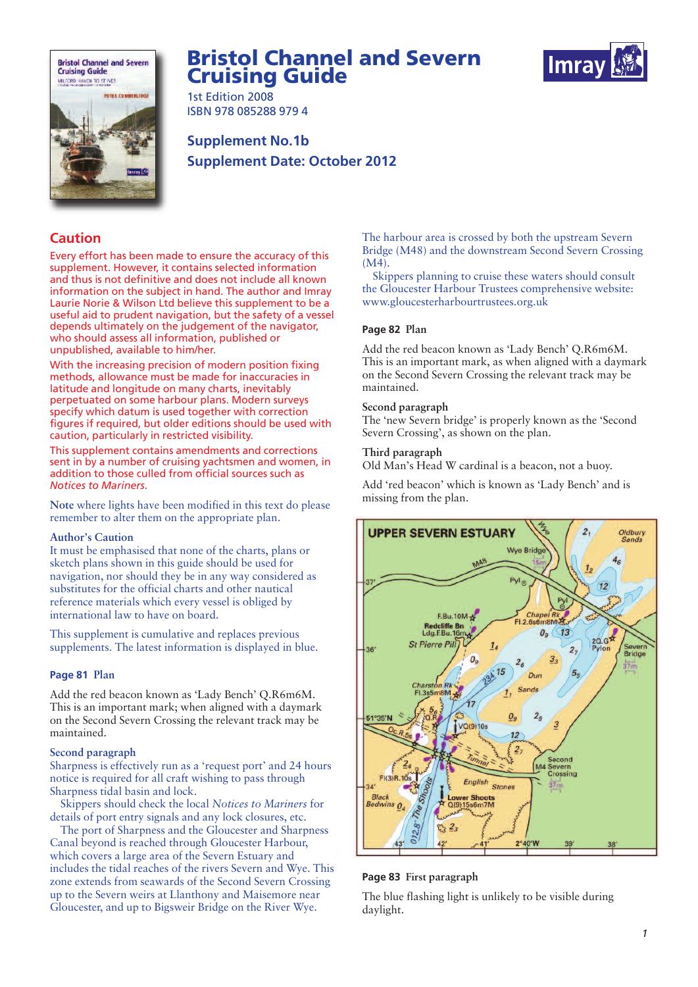

# **Bristol Channel and Severn Cruising Guide**



1st Edition 2008 ISBN 978 085288 979 4

**Supplement No.1b Supplement Date: October 2012**

# **Caution**

Every effort has been made to ensure the accuracy of this supplement. However, it contains selected information and thus is not definitive and does not include all known information on the subject in hand. The author and Imray Laurie Norie & Wilson Ltd believe this supplement to be a useful aid to prudent navigation, but the safety of a vessel depends ultimately on the judgement of the navigator, who should assess all information, published or unpublished, available to him/her.

With the increasing precision of modern position fixing methods, allowance must be made for inaccuracies in latitude and longitude on many charts, inevitably perpetuated on some harbour plans. Modern surveys specify which datum is used together with correction figures if required, but older editions should be used with caution, particularly in restricted visibility.

This supplement contains amendments and corrections sent in by a number of cruising yachtsmen and women, in addition to those culled from official sources such as *Notices to Mariners*.

**Note** where lights have been modified in this text do please remember to alter them on the appropriate plan.

## **Author's Caution**

It must be emphasised that none of the charts, plans or sketch plans shown in this guide should be used for navigation, nor should they be in any way considered as substitutes for the official charts and other nautical reference materials which every vessel is obliged by international law to have on board.

This supplement is cumulative and replaces previous supplements. The latest information is displayed in blue.

# **Page 81 Plan**

Add the red beacon known as 'Lady Bench' Q.R6m6M. This is an important mark; when aligned with a daymark on the Second Severn Crossing the relevant track may be maintained.

#### **Second paragraph**

Sharpness is effectively run as a 'request port' and 24 hours notice is required for all craft wishing to pass through Sharpness tidal basin and lock.

Skippers should check the local *Notices to Mariners* for details of port entry signals and any lock closures, etc.

The port of Sharpness and the Gloucester and Sharpness Canal beyond is reached through Gloucester Harbour, which covers a large area of the Severn Estuary and includes the tidal reaches of the rivers Severn and Wye. This zone extends from seawards of the Second Severn Crossing up to the Severn weirs at Llanthony and Maisemore near Gloucester, and up to Bigsweir Bridge on the River Wye.

The harbour area is crossed by both the upstream Severn Bridge (M48) and the downstream Second Severn Crossing (M4).

Skippers planning to cruise these waters should consult the Gloucester Harbour Trustees comprehensive website: www.gloucesterharbourtrustees.org.uk

# **Page 82 Plan**

Add the red beacon known as 'Lady Bench' Q.R6m6M. This is an important mark, as when aligned with a daymark on the Second Severn Crossing the relevant track may be maintained.

#### **Second paragraph**

The 'new Severn bridge' is properly known as the 'Second Severn Crossing', as shown on the plan.

#### **Third paragraph**

Old Man's Head W cardinal is a beacon, not a buoy.

Add 'red beacon' which is known as 'Lady Bench' and is missing from the plan.



### **Page 83 First paragraph**

The blue flashing light is unlikely to be visible during daylight.